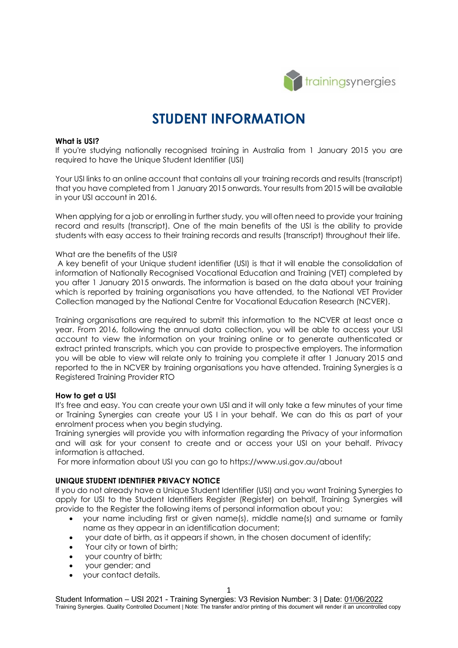

# **STUDENT INFORMATION**

#### **What is USI?**

If you're studying nationally recognised training in Australia from 1 January 2015 you are required to have the Unique Student Identifier (USI)

Your USI links to an online account that contains all your training records and results (transcript) that you have completed from 1 January 2015 onwards. Your results from 2015 will be available in your USI account in 2016.

When applying for a job or enrolling in further study, you will often need to provide your training record and results (transcript). One of the main benefits of the USI is the ability to provide students with easy access to their training records and results (transcript) throughout their life.

#### What are the benefits of the USI?

A key benefit of your Unique student identifier (USI) is that it will enable the consolidation of information of Nationally Recognised Vocational Education and Training (VET) completed by you after 1 January 2015 onwards. The information is based on the data about your training which is reported by training organisations you have attended, to the National VET Provider Collection managed by the National Centre for Vocational Education Research (NCVER).

Training organisations are required to submit this information to the NCVER at least once a year. From 2016, following the annual data collection, you will be able to access your USI account to view the information on your training online or to generate authenticated or extract printed transcripts, which you can provide to prospective employers. The information you will be able to view will relate only to training you complete it after 1 January 2015 and reported to the in NCVER by training organisations you have attended. Training Synergies is a Registered Training Provider RTO

#### **How to get a USI**

It's free and easy. You can create your own USI and it will only take a few minutes of your time or Training Synergies can create your US I in your behalf. We can do this as part of your enrolment process when you begin studying.

Training synergies will provide you with information regarding the Privacy of your information and will ask for your consent to create and or access your USI on your behalf. Privacy information is attached.

For more information about USI you can go to https://www.usi.gov.au/about

### **UNIQUE STUDENT IDENTIFIER PRIVACY NOTICE**

If you do not already have a Unique Student Identifier (USI) and you want Training Synergies to apply for USI to the Student Identifiers Register (Register) on behalf, Training Synergies will provide to the Register the following items of personal information about you:

- your name including first or given name(s), middle name(s) and surname or family name as they appear in an identification document;
- your date of birth, as it appears if shown, in the chosen document of identify;
- Your city or town of birth;
- your country of birth;
- your gender; and
- your contact details.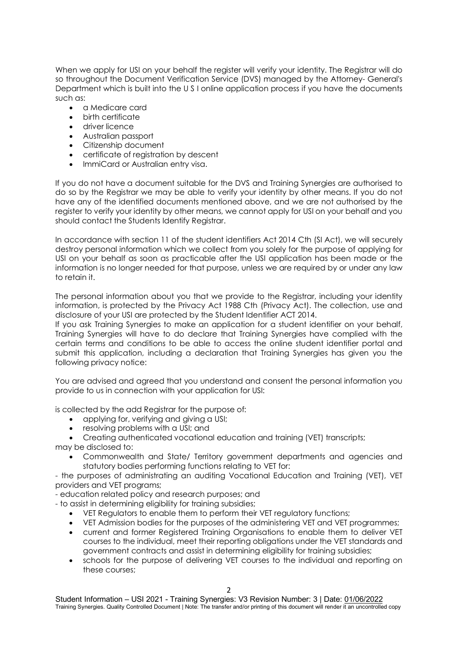When we apply for USI on your behalf the register will verify your identity. The Registrar will do so throughout the Document Verification Service (DVS) managed by the Attorney- General's Department which is built into the U S I online application process if you have the documents such as:

- a Medicare card
- birth certificate
- driver licence
- Australian passport
- Citizenship document
- certificate of registration by descent
- ImmiCard or Australian entry visa.

If you do not have a document suitable for the DVS and Training Synergies are authorised to do so by the Registrar we may be able to verify your identity by other means. If you do not have any of the identified documents mentioned above, and we are not authorised by the register to verify your identity by other means, we cannot apply for USI on your behalf and you should contact the Students Identify Registrar.

In accordance with section 11 of the student identifiers Act 2014 Cth (SI Act), we will securely destroy personal information which we collect from you solely for the purpose of applying for USI on your behalf as soon as practicable after the USI application has been made or the information is no longer needed for that purpose, unless we are required by or under any law to retain it.

The personal information about you that we provide to the Registrar, including your identity information, is protected by the Privacy Act 1988 Cth (Privacy Act). The collection, use and disclosure of your USI are protected by the Student Identifier ACT 2014.

If you ask Training Synergies to make an application for a student identifier on your behalf, Training Synergies will have to do declare that Training Synergies have complied with the certain terms and conditions to be able to access the online student identifier portal and submit this application, including a declaration that Training Synergies has given you the following privacy notice:

You are advised and agreed that you understand and consent the personal information you provide to us in connection with your application for USI:

is collected by the add Registrar for the purpose of:

- applying for, verifying and giving a USI;
- resolving problems with a USI; and
- Creating authenticated vocational education and training (VET) transcripts; may be disclosed to:
	- Commonwealth and State/ Territory government departments and agencies and statutory bodies performing functions relating to VET for:
- the purposes of administrating an auditing Vocational Education and Training (VET), VET providers and VET programs;

- education related policy and research purposes; and

- to assist in determining eligibility for training subsidies;

- VET Regulators to enable them to perform their VET regulatory functions;
- VET Admission bodies for the purposes of the administering VET and VET programmes;
- current and former Registered Training Organisations to enable them to deliver VET courses to the individual, meet their reporting obligations under the VET standards and government contracts and assist in determining eligibility for training subsidies;
- schools for the purpose of delivering VET courses to the individual and reporting on these courses;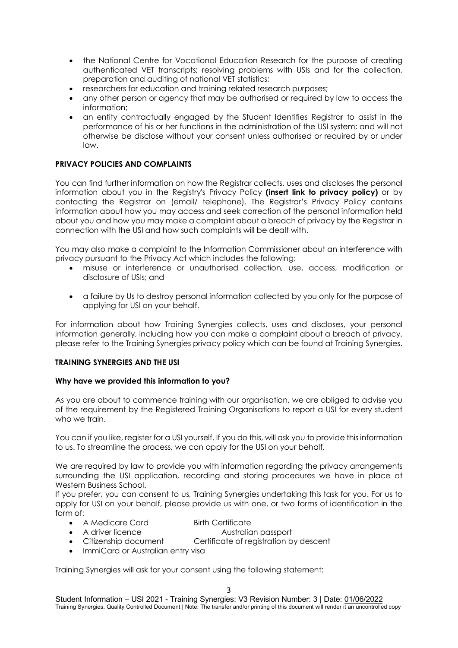- the National Centre for Vocational Education Research for the purpose of creating authenticated VET transcripts; resolving problems with USIs and for the collection, preparation and auditing of national VET statistics;
- researchers for education and training related research purposes;
- any other person or agency that may be authorised or required by law to access the information;
- an entity contractually engaged by the Student Identifies Registrar to assist in the performance of his or her functions in the administration of the USI system; and will not otherwise be disclose without your consent unless authorised or required by or under law.

## **PRIVACY POLICIES AND COMPLAINTS**

You can find further information on how the Registrar collects, uses and discloses the personal information about you in the Registry's Privacy Policy **(insert link to privacy policy)** or by contacting the Registrar on (email/ telephone). The Registrar's Privacy Policy contains information about how you may access and seek correction of the personal information held about you and how you may make a complaint about a breach of privacy by the Registrar in connection with the USI and how such complaints will be dealt with.

You may also make a complaint to the Information Commissioner about an interference with privacy pursuant to the Privacy Act which includes the following:

- misuse or interference or unauthorised collection, use, access, modification or disclosure of USIs; and
- a failure by Us to destroy personal information collected by you only for the purpose of applying for USI on your behalf.

For information about how Training Synergies collects, uses and discloses, your personal information generally, including how you can make a complaint about a breach of privacy, please refer to the Training Synergies privacy policy which can be found at Training Synergies.

## **TRAINING SYNERGIES AND THE USI**

## **Why have we provided this information to you?**

As you are about to commence training with our organisation, we are obliged to advise you of the requirement by the Registered Training Organisations to report a USI for every student who we train.

You can if you like, register for a USI yourself. If you do this, will ask you to provide this information to us. To streamline the process, we can apply for the USI on your behalf.

We are required by law to provide you with information regarding the privacy arrangements surrounding the USI application, recording and storing procedures we have in place at Western Business School.

If you prefer, you can consent to us, Training Synergies undertaking this task for you. For us to apply for USI on your behalf, please provide us with one, or two forms of identification in the form of:

- A Medicare Card Birth Certificate
	-
- A driver licence **Australian passport**
- Citizenship document Certificate of registration by descent
- ImmiCard or Australian entry visa

Training Synergies will ask for your consent using the following statement: